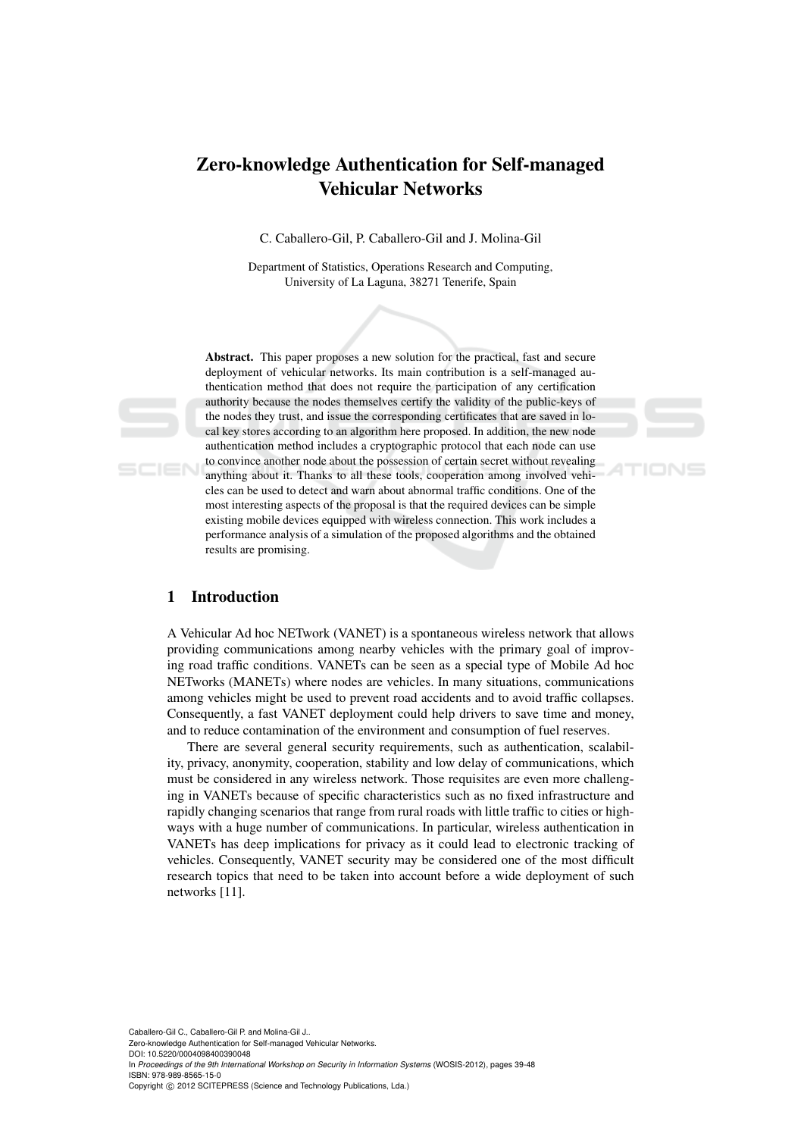# Zero-knowledge Authentication for Self-managed Vehicular Networks

C. Caballero-Gil, P. Caballero-Gil and J. Molina-Gil

Department of Statistics, Operations Research and Computing, University of La Laguna, 38271 Tenerife, Spain

Abstract. This paper proposes a new solution for the practical, fast and secure deployment of vehicular networks. Its main contribution is a self-managed authentication method that does not require the participation of any certification authority because the nodes themselves certify the validity of the public-keys of the nodes they trust, and issue the corresponding certificates that are saved in local key stores according to an algorithm here proposed. In addition, the new node authentication method includes a cryptographic protocol that each node can use to convince another node about the possession of certain secret without revealing anything about it. Thanks to all these tools, cooperation among involved vehicles can be used to detect and warn about abnormal traffic conditions. One of the most interesting aspects of the proposal is that the required devices can be simple existing mobile devices equipped with wireless connection. This work includes a performance analysis of a simulation of the proposed algorithms and the obtained results are promising.

## 1 Introduction

A Vehicular Ad hoc NETwork (VANET) is a spontaneous wireless network that allows providing communications among nearby vehicles with the primary goal of improving road traffic conditions. VANETs can be seen as a special type of Mobile Ad hoc NETworks (MANETs) where nodes are vehicles. In many situations, communications among vehicles might be used to prevent road accidents and to avoid traffic collapses. Consequently, a fast VANET deployment could help drivers to save time and money, and to reduce contamination of the environment and consumption of fuel reserves.

There are several general security requirements, such as authentication, scalability, privacy, anonymity, cooperation, stability and low delay of communications, which must be considered in any wireless network. Those requisites are even more challenging in VANETs because of specific characteristics such as no fixed infrastructure and rapidly changing scenarios that range from rural roads with little traffic to cities or highways with a huge number of communications. In particular, wireless authentication in VANETs has deep implications for privacy as it could lead to electronic tracking of vehicles. Consequently, VANET security may be considered one of the most difficult research topics that need to be taken into account before a wide deployment of such networks [11].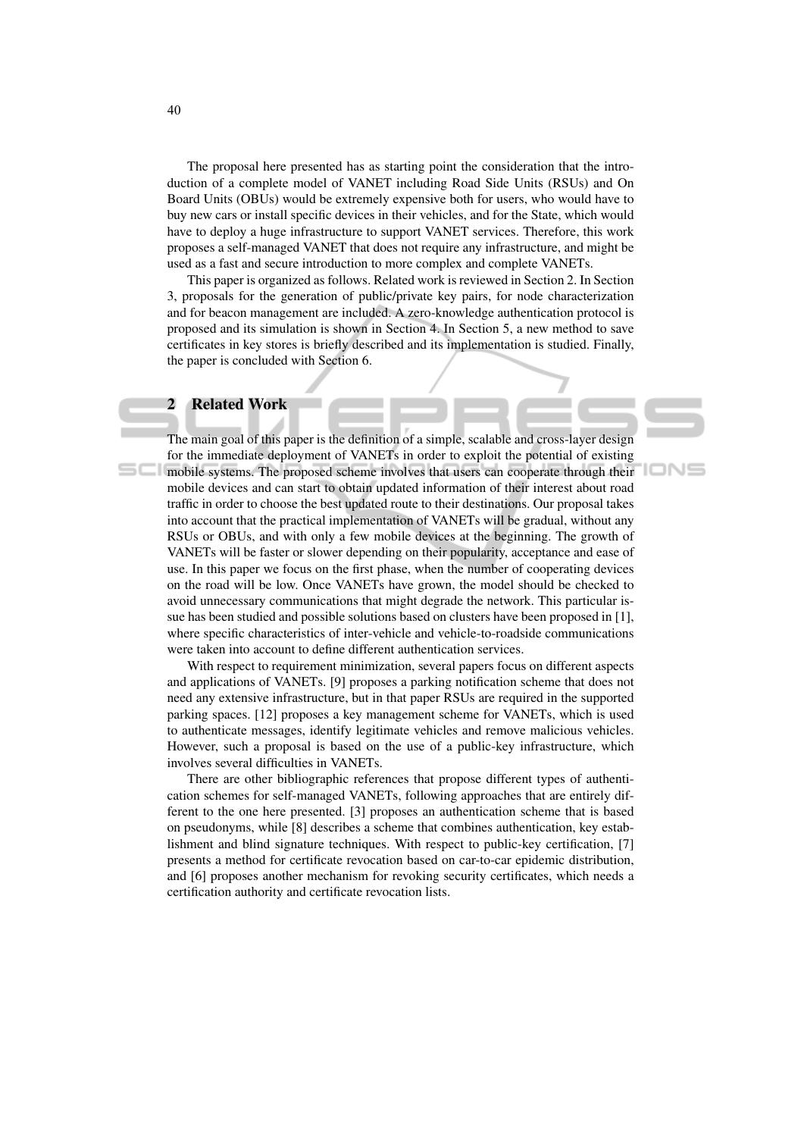The proposal here presented has as starting point the consideration that the introduction of a complete model of VANET including Road Side Units (RSUs) and On Board Units (OBUs) would be extremely expensive both for users, who would have to buy new cars or install specific devices in their vehicles, and for the State, which would have to deploy a huge infrastructure to support VANET services. Therefore, this work proposes a self-managed VANET that does not require any infrastructure, and might be used as a fast and secure introduction to more complex and complete VANETs.

This paper is organized as follows. Related work is reviewed in Section 2. In Section 3, proposals for the generation of public/private key pairs, for node characterization and for beacon management are included. A zero-knowledge authentication protocol is proposed and its simulation is shown in Section 4. In Section 5, a new method to save certificates in key stores is briefly described and its implementation is studied. Finally, the paper is concluded with Section 6.

### **Related Work**

The main goal of this paper is the definition of a simple, scalable and cross-layer design for the immediate deployment of VANETs in order to exploit the potential of existing mobile systems. The proposed scheme involves that users can cooperate through their mobile devices and can start to obtain updated information of their interest about road traffic in order to choose the best updated route to their destinations. Our proposal takes into account that the practical implementation of VANETs will be gradual, without any RSUs or OBUs, and with only a few mobile devices at the beginning. The growth of VANETs will be faster or slower depending on their popularity, acceptance and ease of use. In this paper we focus on the first phase, when the number of cooperating devices on the road will be low. Once VANETs have grown, the model should be checked to avoid unnecessary communications that might degrade the network. This particular issue has been studied and possible solutions based on clusters have been proposed in [1], where specific characteristics of inter-vehicle and vehicle-to-roadside communications were taken into account to define different authentication services.

IONS

With respect to requirement minimization, several papers focus on different aspects and applications of VANETs. [9] proposes a parking notification scheme that does not need any extensive infrastructure, but in that paper RSUs are required in the supported parking spaces. [12] proposes a key management scheme for VANETs, which is used to authenticate messages, identify legitimate vehicles and remove malicious vehicles. However, such a proposal is based on the use of a public-key infrastructure, which involves several difficulties in VANETs.

There are other bibliographic references that propose different types of authentication schemes for self-managed VANETs, following approaches that are entirely different to the one here presented. [3] proposes an authentication scheme that is based on pseudonyms, while [8] describes a scheme that combines authentication, key establishment and blind signature techniques. With respect to public-key certification, [7] presents a method for certificate revocation based on car-to-car epidemic distribution, and [6] proposes another mechanism for revoking security certificates, which needs a certification authority and certificate revocation lists.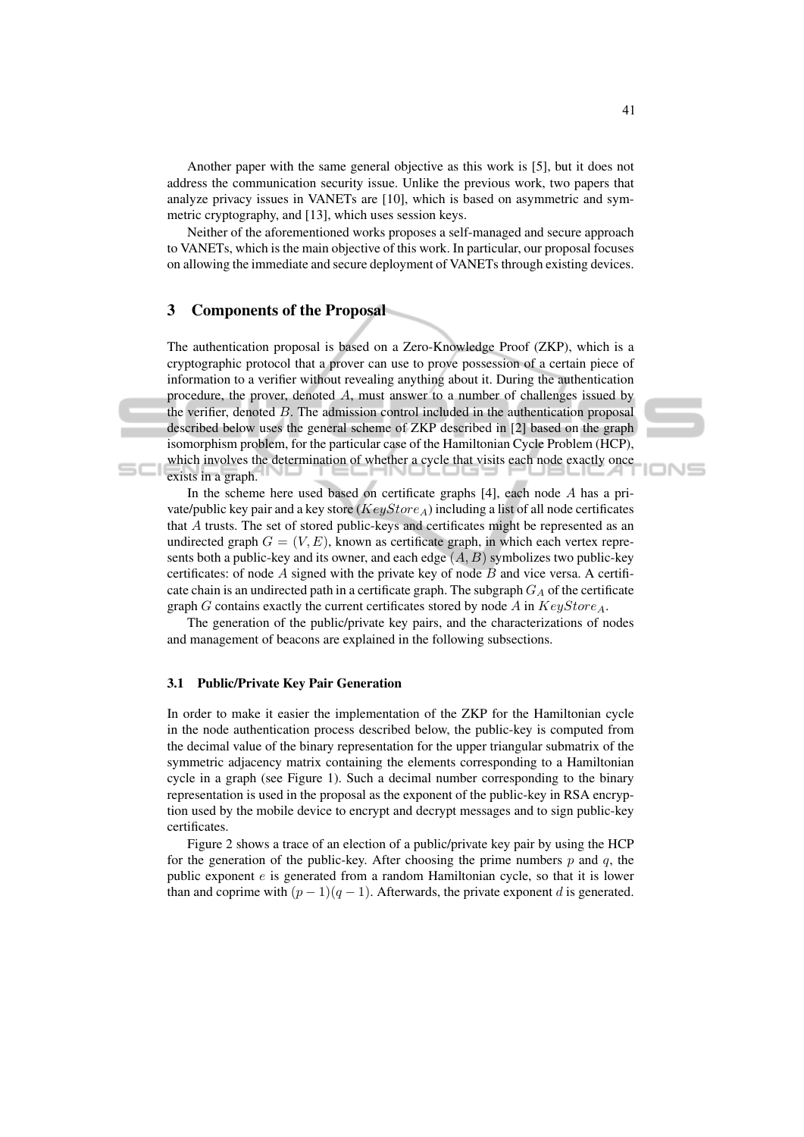Another paper with the same general objective as this work is [5], but it does not address the communication security issue. Unlike the previous work, two papers that analyze privacy issues in VANETs are [10], which is based on asymmetric and symmetric cryptography, and [13], which uses session keys.

Neither of the aforementioned works proposes a self-managed and secure approach to VANETs, which is the main objective of this work. In particular, our proposal focuses on allowing the immediate and secure deployment of VANETs through existing devices.

### 3 Components of the Proposal

The authentication proposal is based on a Zero-Knowledge Proof (ZKP), which is a cryptographic protocol that a prover can use to prove possession of a certain piece of information to a verifier without revealing anything about it. During the authentication procedure, the prover, denoted A, must answer to a number of challenges issued by the verifier, denoted  $B$ . The admission control included in the authentication proposal described below uses the general scheme of ZKP described in [2] based on the graph isomorphism problem, for the particular case of the Hamiltonian Cycle Problem (HCP), which involves the determination of whether a cycle that visits each node exactly once exists in a graph.

In the scheme here used based on certificate graphs  $[4]$ , each node A has a private/public key pair and a key store ( $KeyStore_A$ ) including a list of all node certificates that A trusts. The set of stored public-keys and certificates might be represented as an undirected graph  $G = (V, E)$ , known as certificate graph, in which each vertex represents both a public-key and its owner, and each edge  $(A, B)$  symbolizes two public-key certificates: of node  $A$  signed with the private key of node  $B$  and vice versa. A certificate chain is an undirected path in a certificate graph. The subgraph  $G_A$  of the certificate graph  $G$  contains exactly the current certificates stored by node  $A$  in  $KeyStore_A$ .

The generation of the public/private key pairs, and the characterizations of nodes and management of beacons are explained in the following subsections.

#### 3.1 Public/Private Key Pair Generation

In order to make it easier the implementation of the ZKP for the Hamiltonian cycle in the node authentication process described below, the public-key is computed from the decimal value of the binary representation for the upper triangular submatrix of the symmetric adjacency matrix containing the elements corresponding to a Hamiltonian cycle in a graph (see Figure 1). Such a decimal number corresponding to the binary representation is used in the proposal as the exponent of the public-key in RSA encryption used by the mobile device to encrypt and decrypt messages and to sign public-key certificates.

Figure 2 shows a trace of an election of a public/private key pair by using the HCP for the generation of the public-key. After choosing the prime numbers  $p$  and  $q$ , the public exponent e is generated from a random Hamiltonian cycle, so that it is lower than and coprime with  $(p-1)(q-1)$ . Afterwards, the private exponent d is generated.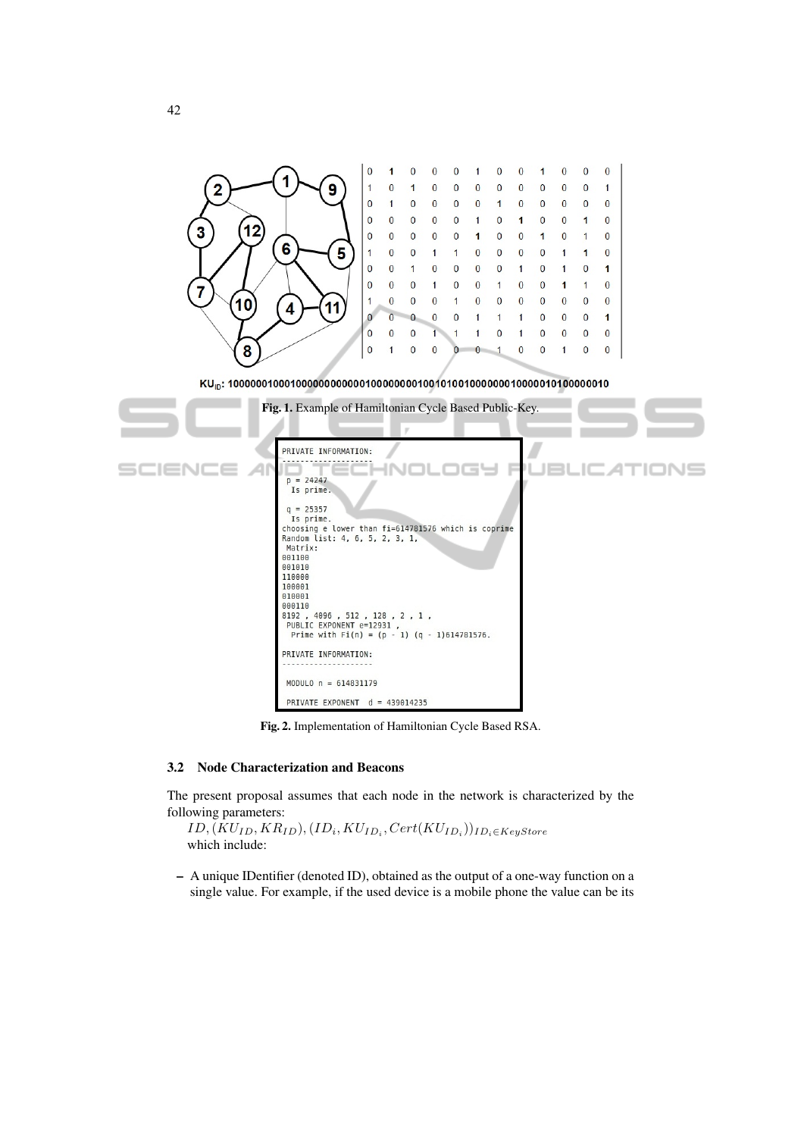

Fig. 2. Implementation of Hamiltonian Cycle Based RSA.

### 3.2 Node Characterization and Beacons

The present proposal assumes that each node in the network is characterized by the following parameters:

 $ID, (KU_{ID}, KR_{ID}), (ID_i, KU_{ID_i}, Cert(KU_{ID_i}))_{ID_i \in KeyStore}$ which include:

– A unique IDentifier (denoted ID), obtained as the output of a one-way function on a single value. For example, if the used device is a mobile phone the value can be its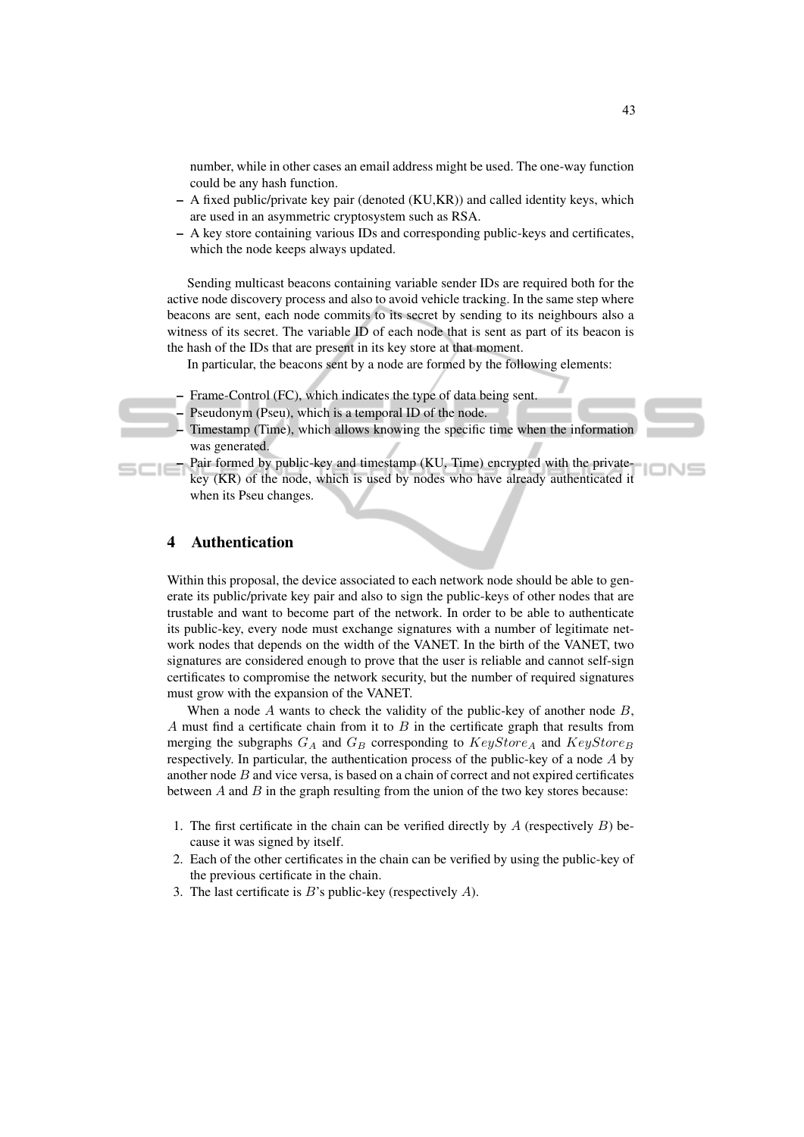number, while in other cases an email address might be used. The one-way function could be any hash function.

- A fixed public/private key pair (denoted (KU,KR)) and called identity keys, which are used in an asymmetric cryptosystem such as RSA.
- A key store containing various IDs and corresponding public-keys and certificates, which the node keeps always updated.

Sending multicast beacons containing variable sender IDs are required both for the active node discovery process and also to avoid vehicle tracking. In the same step where beacons are sent, each node commits to its secret by sending to its neighbours also a witness of its secret. The variable ID of each node that is sent as part of its beacon is the hash of the IDs that are present in its key store at that moment.

In particular, the beacons sent by a node are formed by the following elements:

- Frame-Control (FC), which indicates the type of data being sent.
- Pseudonym (Pseu), which is a temporal ID of the node.
- Timestamp (Time), which allows knowing the specific time when the information was generated.
- Pair formed by public-key and timestamp (KU, Time) encrypted with the privatekey (KR) of the node, which is used by nodes who have already authenticated it when its Pseu changes.

### 4 Authentication

Within this proposal, the device associated to each network node should be able to generate its public/private key pair and also to sign the public-keys of other nodes that are trustable and want to become part of the network. In order to be able to authenticate its public-key, every node must exchange signatures with a number of legitimate network nodes that depends on the width of the VANET. In the birth of the VANET, two signatures are considered enough to prove that the user is reliable and cannot self-sign certificates to compromise the network security, but the number of required signatures must grow with the expansion of the VANET.

When a node  $A$  wants to check the validity of the public-key of another node  $B$ , A must find a certificate chain from it to  $B$  in the certificate graph that results from merging the subgraphs  $G_A$  and  $G_B$  corresponding to  $KeyStore_A$  and  $KeyStore_B$ respectively. In particular, the authentication process of the public-key of a node A by another node  $B$  and vice versa, is based on a chain of correct and not expired certificates between  $A$  and  $B$  in the graph resulting from the union of the two key stores because:

- 1. The first certificate in the chain can be verified directly by  $A$  (respectively  $B$ ) because it was signed by itself.
- 2. Each of the other certificates in the chain can be verified by using the public-key of the previous certificate in the chain.
- 3. The last certificate is  $B$ 's public-key (respectively  $A$ ).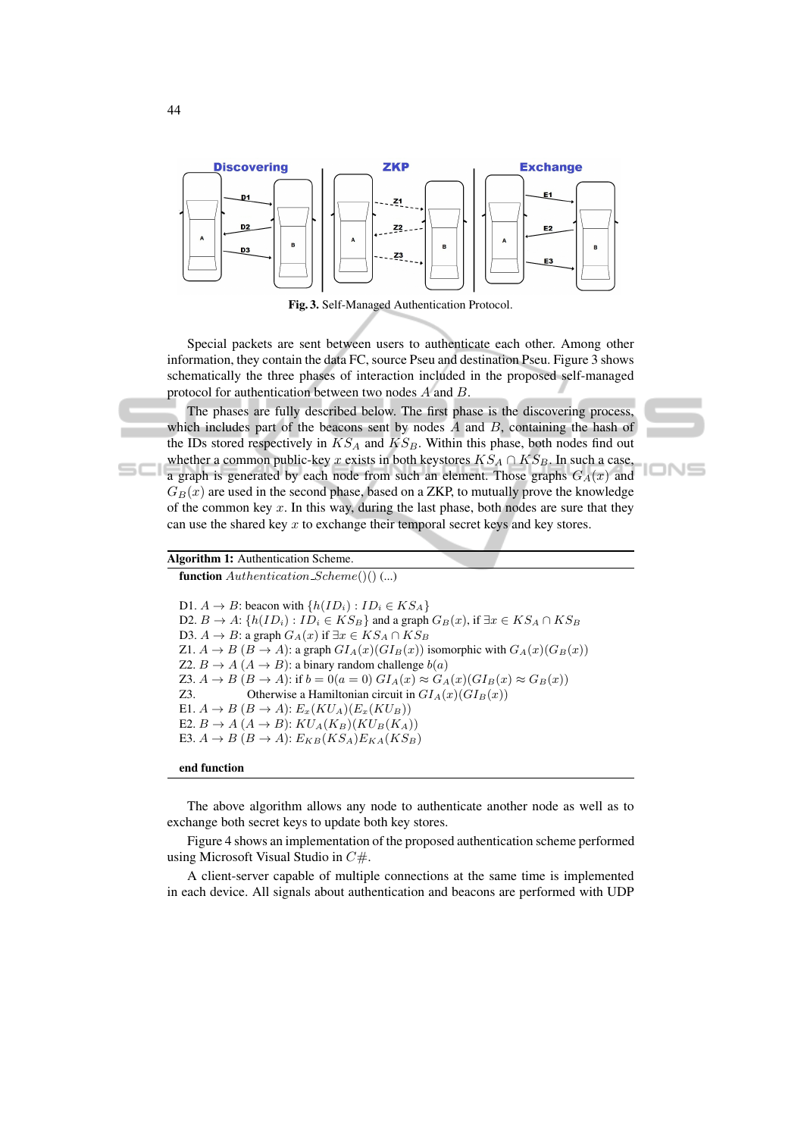

Fig. 3. Self-Managed Authentication Protocol.

Special packets are sent between users to authenticate each other. Among other information, they contain the data FC, source Pseu and destination Pseu. Figure 3 shows schematically the three phases of interaction included in the proposed self-managed protocol for authentication between two nodes A and B.

The phases are fully described below. The first phase is the discovering process, which includes part of the beacons sent by nodes  $A$  and  $B$ , containing the hash of the IDs stored respectively in  $KS_A$  and  $KS_B$ . Within this phase, both nodes find out whether a common public-key x exists in both keystores  $KS_A \cap KS_B$ . In such a case, a graph is generated by each node from such an element. Those graphs  $G_A(x)$  and  $G_B(x)$  are used in the second phase, based on a ZKP, to mutually prove the knowledge of the common key  $x$ . In this way, during the last phase, both nodes are sure that they

ION⊆

### Algorithm 1: Authentication Scheme.

function  $Authentication\_Scheme()()$  (...)

D1.  $A \rightarrow B$ : beacon with  $\{h(ID_i) : ID_i \in KS_A\}$ D2.  $B \to A: \{h(ID_i) : ID_i \in KS_B\}$  and a graph  $G_B(x)$ , if  $\exists x \in KS_A \cap KS_B$ D3.  $A \rightarrow B$ : a graph  $G_A(x)$  if  $\exists x \in KS_A \cap KS_B$ Z1.  $A \rightarrow B$  ( $B \rightarrow A$ ): a graph  $GI_A(x)(GI_B(x))$  isomorphic with  $G_A(x)(G_B(x))$ Z2.  $B \to A (A \to B)$ : a binary random challenge  $b(a)$ Z3.  $A \rightarrow B$   $(B \rightarrow A)$ : if  $b = 0(a = 0)$   $GI_A(x) \approx G_A(x)(GI_B(x) \approx G_B(x))$ Z3. Otherwise a Hamiltonian circuit in  $GI_A(x)(GI_B(x))$ E1.  $A \rightarrow B (B \rightarrow A)$ :  $E_x(KU_A)(E_x(KU_B))$ E2.  $B \to A (A \to B)$ :  $KU_A(K_B)(KU_B(K_A))$ E3.  $A \rightarrow B (B \rightarrow A)$ :  $E_{KB}(KS_A)E_{KA}(KS_B)$ 

can use the shared key  $x$  to exchange their temporal secret keys and key stores.

end function

The above algorithm allows any node to authenticate another node as well as to exchange both secret keys to update both key stores.

Figure 4 shows an implementation of the proposed authentication scheme performed using Microsoft Visual Studio in  $C#$ .

A client-server capable of multiple connections at the same time is implemented in each device. All signals about authentication and beacons are performed with UDP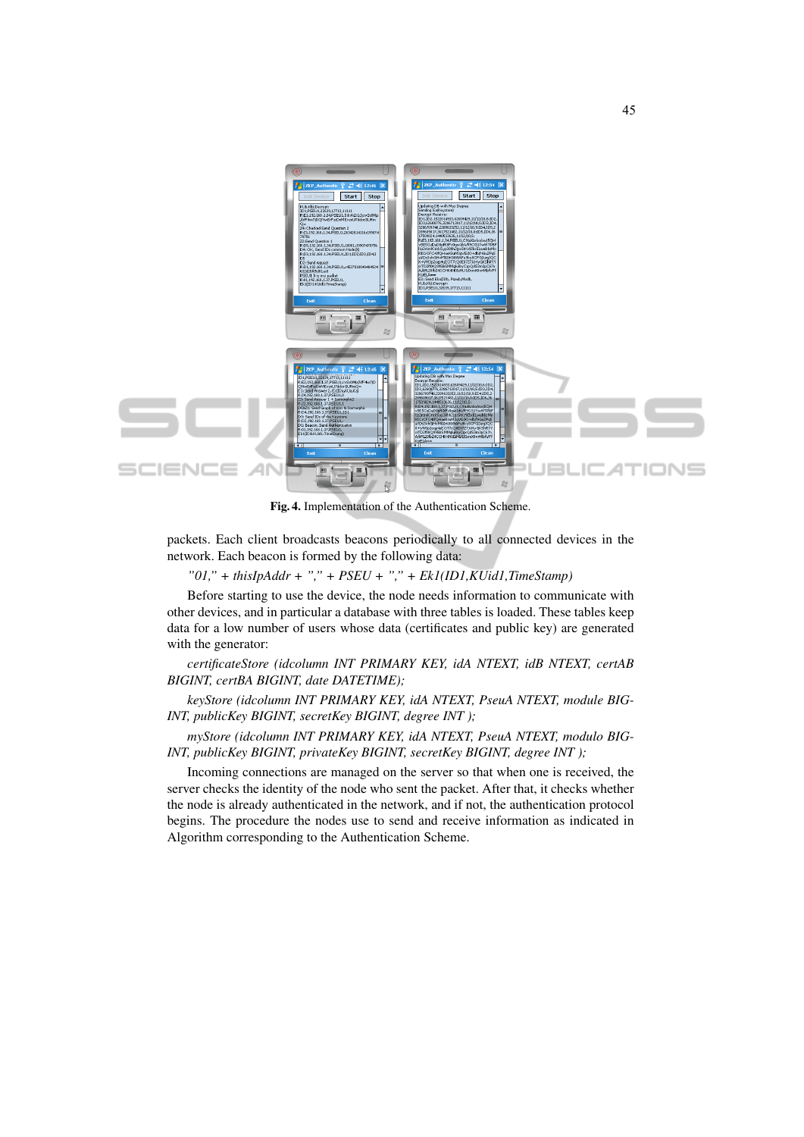

Fig. 4. Implementation of the Authentication Scheme.

packets. Each client broadcasts beacons periodically to all connected devices in the network. Each beacon is formed by the following data:

*"01," + thisIpAddr + "," + PSEU + "," + Ek1(ID1,KUid1,TimeStamp)*

Before starting to use the device, the node needs information to communicate with other devices, and in particular a database with three tables is loaded. These tables keep data for a low number of users whose data (certificates and public key) are generated with the generator:

*certificateStore (idcolumn INT PRIMARY KEY, idA NTEXT, idB NTEXT, certAB BIGINT, certBA BIGINT, date DATETIME);*

*keyStore (idcolumn INT PRIMARY KEY, idA NTEXT, PseuA NTEXT, module BIG-INT, publicKey BIGINT, secretKey BIGINT, degree INT );*

*myStore (idcolumn INT PRIMARY KEY, idA NTEXT, PseuA NTEXT, modulo BIG-INT, publicKey BIGINT, privateKey BIGINT, secretKey BIGINT, degree INT );*

Incoming connections are managed on the server so that when one is received, the server checks the identity of the node who sent the packet. After that, it checks whether the node is already authenticated in the network, and if not, the authentication protocol begins. The procedure the nodes use to send and receive information as indicated in Algorithm corresponding to the Authentication Scheme.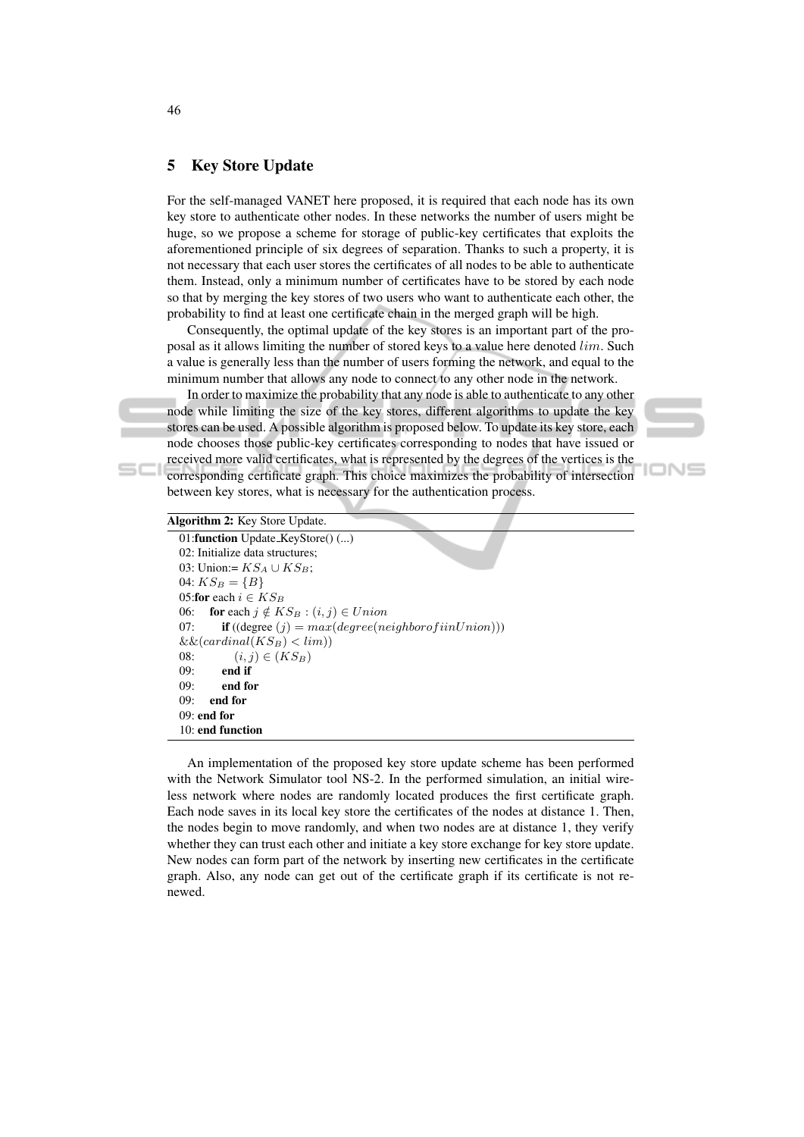### 5 Key Store Update

For the self-managed VANET here proposed, it is required that each node has its own key store to authenticate other nodes. In these networks the number of users might be huge, so we propose a scheme for storage of public-key certificates that exploits the aforementioned principle of six degrees of separation. Thanks to such a property, it is not necessary that each user stores the certificates of all nodes to be able to authenticate them. Instead, only a minimum number of certificates have to be stored by each node so that by merging the key stores of two users who want to authenticate each other, the probability to find at least one certificate chain in the merged graph will be high.

Consequently, the optimal update of the key stores is an important part of the proposal as it allows limiting the number of stored keys to a value here denoted lim. Such a value is generally less than the number of users forming the network, and equal to the minimum number that allows any node to connect to any other node in the network.

In order to maximize the probability that any node is able to authenticate to any other node while limiting the size of the key stores, different algorithms to update the key stores can be used. A possible algorithm is proposed below. To update its key store, each node chooses those public-key certificates corresponding to nodes that have issued or received more valid certificates, what is represented by the degrees of the vertices is the corresponding certificate graph. This choice maximizes the probability of intersection between key stores, what is necessary for the authentication process.

oN⊆

| Algorithm 2: Key Store Update.                                               |
|------------------------------------------------------------------------------|
| 01: function Update_KeyStore( $)$ ()                                         |
| 02: Initialize data structures:                                              |
| 03: Union:= $KS_A \cup KS_B$ :                                               |
| 04: $KS_B = \{B\}$                                                           |
| 05: for each $i \in KS_B$                                                    |
| 06: for each $j \notin KS_B$ : $(i, j) \in Union$                            |
| <b>if</b> ((degree ( <i>i</i> ) = $max(degree(neighbourofiinUnion)))$<br>07: |
| $\&\&(cardinal(KS_B) < lim))$                                                |
| $(i, j) \in (KS_B)$<br>08:                                                   |
| end if<br>09:                                                                |
| end for<br>09:                                                               |
| 09:<br>end for                                                               |
| $09:$ end for                                                                |
| 10: end function                                                             |

An implementation of the proposed key store update scheme has been performed with the Network Simulator tool NS-2. In the performed simulation, an initial wireless network where nodes are randomly located produces the first certificate graph. Each node saves in its local key store the certificates of the nodes at distance 1. Then, the nodes begin to move randomly, and when two nodes are at distance 1, they verify whether they can trust each other and initiate a key store exchange for key store update. New nodes can form part of the network by inserting new certificates in the certificate graph. Also, any node can get out of the certificate graph if its certificate is not renewed.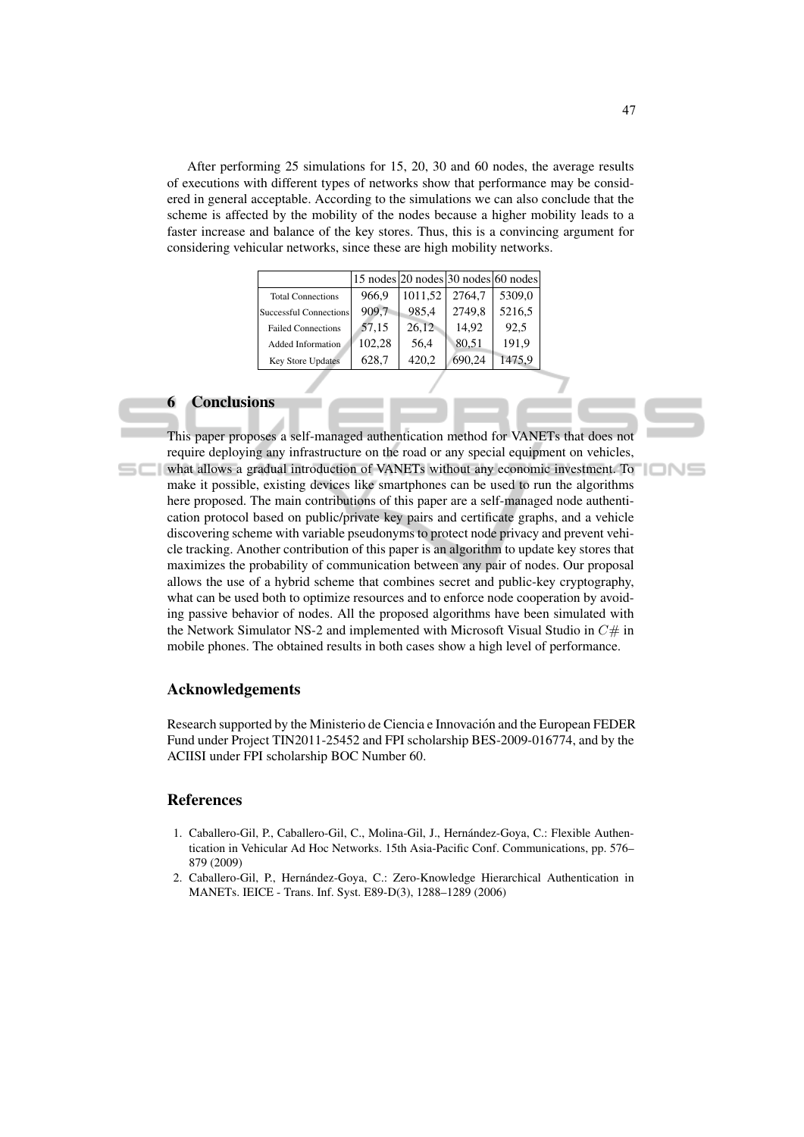After performing 25 simulations for 15, 20, 30 and 60 nodes, the average results of executions with different types of networks show that performance may be considered in general acceptable. According to the simulations we can also conclude that the scheme is affected by the mobility of the nodes because a higher mobility leads to a faster increase and balance of the key stores. Thus, this is a convincing argument for considering vehicular networks, since these are high mobility networks.

|                               |        | $15$ nodes $ 20$ nodes $ 30$ nodes $ 60$ nodes |        |        |
|-------------------------------|--------|------------------------------------------------|--------|--------|
| <b>Total Connections</b>      | 966.9  | 1011,52                                        | 2764.7 | 5309,0 |
| <b>Successful Connections</b> | 909,7  | 985,4                                          | 2749,8 | 5216,5 |
| <b>Failed Connections</b>     | 57,15  | 26,12                                          | 14.92  | 92.5   |
| <b>Added Information</b>      | 102,28 | 56.4                                           | 80,51  | 191.9  |
| <b>Key Store Updates</b>      | 628,7  | 420,2                                          | 690,24 | 1475,9 |

#### 6 Conclusions

This paper proposes a self-managed authentication method for VANETs that does not require deploying any infrastructure on the road or any special equipment on vehicles, what allows a gradual introduction of VANETs without any economic investment. To make it possible, existing devices like smartphones can be used to run the algorithms here proposed. The main contributions of this paper are a self-managed node authentication protocol based on public/private key pairs and certificate graphs, and a vehicle discovering scheme with variable pseudonyms to protect node privacy and prevent vehicle tracking. Another contribution of this paper is an algorithm to update key stores that maximizes the probability of communication between any pair of nodes. Our proposal allows the use of a hybrid scheme that combines secret and public-key cryptography, what can be used both to optimize resources and to enforce node cooperation by avoiding passive behavior of nodes. All the proposed algorithms have been simulated with the Network Simulator NS-2 and implemented with Microsoft Visual Studio in  $C\#$  in mobile phones. The obtained results in both cases show a high level of performance.

#### Acknowledgements

Research supported by the Ministerio de Ciencia e Innovacion and the European FEDER ´ Fund under Project TIN2011-25452 and FPI scholarship BES-2009-016774, and by the ACIISI under FPI scholarship BOC Number 60.

### References

- 1. Caballero-Gil, P., Caballero-Gil, C., Molina-Gil, J., Hernández-Goya, C.: Flexible Authentication in Vehicular Ad Hoc Networks. 15th Asia-Pacific Conf. Communications, pp. 576– 879 (2009)
- 2. Caballero-Gil, P., Hernandez-Goya, C.: Zero-Knowledge Hierarchical Authentication in ´ MANETs. IEICE - Trans. Inf. Syst. E89-D(3), 1288–1289 (2006)

IONS